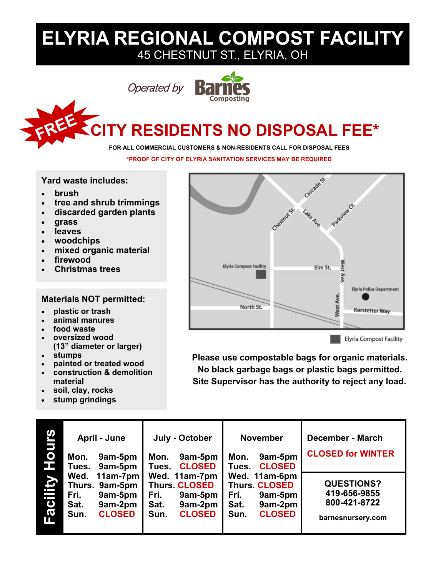## **ELYRIA REGIONAL COMPOST FACILITY** 45 CHESTNUT ST., ELYRIA, OH

```
Operated by
```


# **CITY RESIDENTS NO DISPOSAL FEE\***

#### **FOR ALL COMMERCIAL CUSTOMERS & NON-RESIDENTS CALL FOR DISPOSAL FEES**

**\*PROOF OF CITY OF ELYRIA SANITATION SERVICES MAY BE REQUIRED**

**Yard waste includes:**

- **brush**
- **tree and shrub trimmings**
- **discarded garden plants**
- **grass**
- **leaves**
- **woodchips**
- **mixed organic material**
- **firewood**
- **Christmas trees**

#### **Materials NOT permitted:**

- **plastic or trash**
- **animal manures**
- **food waste**
- **oversized wood (13" diameter or larger)**
- **stumps**
- **painted or treated wood**
- **construction & demolition material**
- **soil, clay, rocks**
- **stump grindings**



**Please use compostable bags for organic materials. No black garbage bags or plastic bags permitted. Site Supervisor has the authority to reject any load.**

| <b>SJINO</b><br>H | April - June<br>9am-5pm<br>Mon.<br>9am-5pm<br>Tues. |                                                                        | July - October<br>9am-5pm<br>Mon.<br><b>CLOSED</b><br>Tues. |                                                                              | <b>November</b><br>9am-5pm<br>Mon.<br><b>CLOSED</b><br>Tues. | <b>December - March</b><br><b>CLOSED for WINTER</b>                          |                                                                        |
|-------------------|-----------------------------------------------------|------------------------------------------------------------------------|-------------------------------------------------------------|------------------------------------------------------------------------------|--------------------------------------------------------------|------------------------------------------------------------------------------|------------------------------------------------------------------------|
| Facility          | Fri.<br>Sat.<br>Sun.                                | Wed. 11am-7pm<br>Thurs. 9am-5pm<br>9am-5pm<br>9am-2pm<br><b>CLOSED</b> | Fri.<br>Sat.<br>Sun.                                        | Wed. 11am-7pm<br><b>Thurs. CLOSED</b><br>9am-5pm<br>9am-2pm<br><b>CLOSED</b> | Fri.<br>Sat.<br>Sun.                                         | Wed. 11am-6pm<br><b>Thurs. CLOSED</b><br>9am-5pm<br>9am-2pm<br><b>CLOSED</b> | <b>QUESTIONS?</b><br>419-656-9855<br>800-421-8722<br>barnesnursery.com |